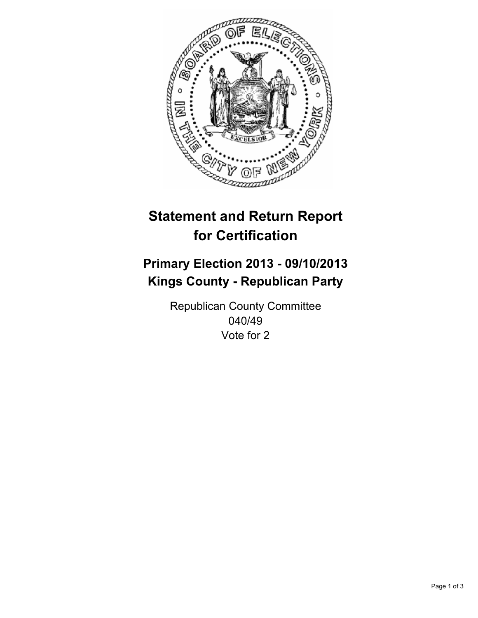

# **Statement and Return Report for Certification**

## **Primary Election 2013 - 09/10/2013 Kings County - Republican Party**

Republican County Committee 040/49 Vote for 2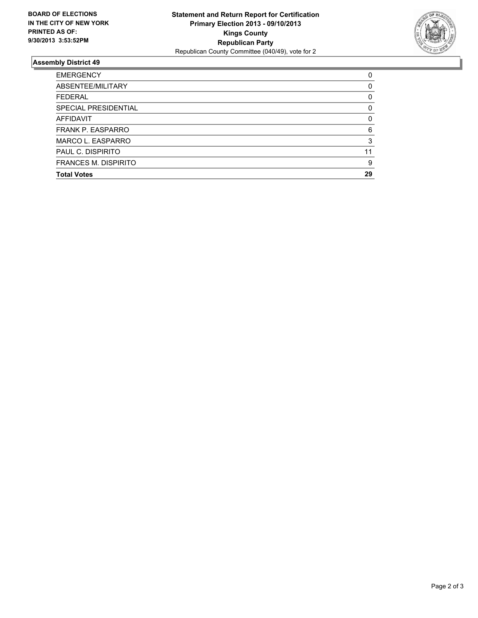

### **Assembly District 49**

| 0        |
|----------|
| 0        |
| 0        |
| 0        |
| $\Omega$ |
| 6        |
| 3        |
| 11       |
| 9        |
| 29       |
|          |